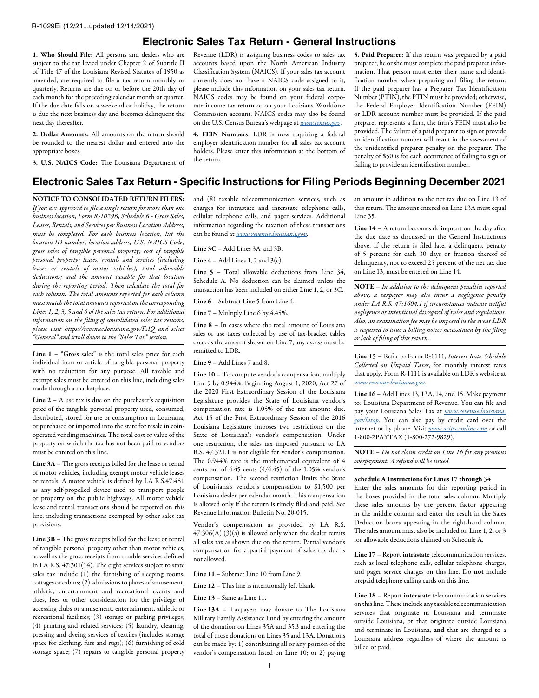## **Electronic Sales Tax Return - General Instructions**

1. Who Should File: All persons and dealers who are subject to the tax levied under Chapter 2 of Subtitle II of Title 47 of the Louisiana Revised Statutes of 1950 as amended, are required to file a tax return monthly or quarterly. Returns are due on or before the 20th day of each month for the preceding calendar month or quarter. If the due date falls on a weekend or holiday, the return is due the next business day and becomes delinquent the next day thereafter.

2. Dollar Amounts: All amounts on the return should be rounded to the nearest dollar and entered into the appropriate boxes.

3. U.S. NAICS Code: The Louisiana Department of

Revenue (LDR) is assigning business codes to sales tax accounts based upon the North American Industry Classification System (NAICS). If your sales tax account currently does not have a NAICS code assigned to it, please include this information on your sales tax return. NAICS codes may be found on your federal corporate income tax return or on your Louisiana Workforce Commission account. NAICS codes may also be found on the U.S. Census Bureau's webpage at *[www.census.gov](http://www.census.gov)*.

4. FEIN Numbers: LDR is now requiring a federal employer identification number for all sales tax account holders. Please enter this information at the bottom of the return.

5. Paid Preparer: If this return was prepared by a paid preparer, he or she must complete the paid preparer information. That person must enter their name and identification number when preparing and filing the return. If the paid preparer has a Preparer Tax Identification Number (PTIN), the PTIN must be provided; otherwise, the Federal Employer Identification Number (FEIN) or LDR account number must be provided. If the paid preparer represents a firm, the firm's FEIN must also be provided. The failure of a paid preparer to sign or provide an identification number will result in the assessment of the unidentified preparer penalty on the preparer. The penalty of \$50 is for each occurrence of failing to sign or failing to provide an identification number.

## **Electronic Sales Tax Return - Specific Instructions for Filing Periods Beginning December 2021**

NOTICE TO CONSOLIDATED RETURN FILERS: *If you are approved to file a single return for more than one business location, Form R-1029B, Schedule B - Gross Sales, Leases, Rentals, and Services per Business Location Address, must be completed. For each business location, list the location ID number; location address; U.S. NAICS Code; gross sales of tangible personal property; cost of tangible personal property; leases, rentals and services (including leases or rentals of motor vehicles); total allowable deductions; and the amount taxable for that location during the reporting period. Then calculate the total for each column. The total amounts reported for each column must match the total amounts reported on the corresponding Lines 1, 2, 3, 5 and 6 of the sales tax return. For additional information on the filing of consolidated sales tax returns, please visit https://revenue.louisiana.gov/FAQ and select "General" and scroll down to the "Sales Tax" section.* 

Line  $1$  – "Gross sales" is the total sales price for each individual item or article of tangible personal property with no reduction for any purpose. All taxable and exempt sales must be entered on this line, including sales made through a marketplace.

Line  $2 - A$  use tax is due on the purchaser's acquisition price of the tangible personal property used, consumed, distributed, stored for use or consumption in Louisiana, or purchased or imported into the state for resale in coinoperated vending machines. The total cost or value of the property on which the tax has not been paid to vendors must be entered on this line.

Line 3A – The gross receipts billed for the lease or rental of motor vehicles, including exempt motor vehicle leases or rentals. A motor vehicle is defined by LA R.S.47:451 as any self-propelled device used to transport people or property on the public highways. All motor vehicle lease and rental transactions should be reported on this line, including transactions exempted by other sales tax provisions.

Line 3B – The gross receipts billed for the lease or rental of tangible personal property other than motor vehicles, as well as the gross receipts from taxable services defined in LA R.S. 47:301(14). The eight services subject to state sales tax include (1) the furnishing of sleeping rooms, cottages or cabins; (2) admissions to places of amusement, athletic, entertainment and recreational events and dues, fees or other consideration for the privilege of accessing clubs or amusement, entertainment, athletic or recreational facilities; (3) storage or parking privileges; (4) printing and related services; (5) laundry, cleaning, pressing and dyeing services of textiles (includes storage space for clothing, furs and rugs); (6) furnishing of cold storage space; (7) repairs to tangible personal property

and (8) taxable telecommunication services, such as charges for intrastate and interstate telephone calls, cellular telephone calls, and pager services. Additional information regarding the taxation of these transactions can be found at *[www.revenue.louisiana.gov](http://www.revenue.louisiana.gov)*.

Line 3C – Add Lines 3A and 3B.

Line  $4$  – Add Lines 1, 2 and  $3(c)$ .

Line 5 – Total allowable deductions from Line 34, Schedule A. No deduction can be claimed unless the transaction has been included on either Line 1, 2, or 3C.

Line 6 – Subtract Line 5 from Line 4.

Line 7 – Multiply Line 6 by 4.45%.

Line 8 – In cases where the total amount of Louisiana sales or use taxes collected by use of tax-bracket tables exceeds the amount shown on Line 7, any excess must be remitted to LDR.

Line 9 – Add Lines 7 and 8.

Line 10 – To compute vendor's compensation, multiply Line 9 by 0.944%. Beginning August 1, 2020, Act 27 of the 2020 First Extraordinary Session of the Louisiana Legislature provides the State of Louisiana vendor's compensation rate is 1.05% of the tax amount due. Act 15 of the First Extraordinary Session of the 2016 Louisiana Legislature imposes two restrictions on the State of Louisiana's vendor's compensation. Under one restriction, the sales tax imposed pursuant to LA R.S. 47:321.1 is not eligible for vendor's compensation. The 0.944% rate is the mathematical equivalent of 4 cents out of 4.45 cents (4/4.45) of the 1.05% vendor's compensation. The second restriction limits the State of Louisiana's vendor's compensation to \$1,500 per Louisiana dealer per calendar month. This compensation is allowed only if the return is timely filed and paid. See Revenue Information Bulletin No. 20-015.

Vendor's compensation as provided by LA R.S.  $47:306(A)$  (3)(a) is allowed only when the dealer remits all sales tax as shown due on the return. Partial vendor's compensation for a partial payment of sales tax due is not allowed.

Line 11 – Subtract Line 10 from Line 9.

Line 12 – This line is intentionally left blank.

Line 13 – Same as Line 11.

Line 13A – Taxpayers may donate to The Louisiana Military Family Assistance Fund by entering the amount of the donation on Lines 35A and 35B and entering the total of those donations on Lines 35 and 13A. Donations can be made by: 1) contributing all or any portion of the vendor's compensation listed on Line 10; or 2) paying an amount in addition to the net tax due on Line 13 of this return. The amount entered on Line 13A must equal Line 35.

Line 14 – A return becomes delinquent on the day after the due date as discussed in the General Instructions above. If the return is filed late, a delinquent penalty of 5 percent for each 30 days or fraction thereof of delinquency, not to exceed 25 percent of the net tax due on Line 13, must be entered on Line 14.

NOTE – *In addition to the delinquent penalties reported above, a taxpayer may also incur a negligence penalty under LA R.S. 47:1604.1 if circumstances indicate willful negligence or intentional disregard of rules and regulations. Also, an examination fee may be imposed in the event LDR is required to issue a billing notice necessitated by the filing or lack of filing of this return.*

Line 15 – Refer to Form R-1111, *Interest Rate Schedule Collected on Unpaid Taxes*, for monthly interest rates that apply. Form R-1111 is available on LDR's website at *[www.revenue.louisiana.gov.](http://www.revenue.louisiana.gov)*

Line 16 – Add Lines 13, 13A, 14, and 15. Make payment to: Louisiana Department of Revenue. You can file and pay your Louisiana Sales Tax at *[www.revenue.louisiana.](http://www.revenue.louisiana.gov/latap) [gov/latap](http://www.revenue.louisiana.gov/latap)*. You can also pay by credit card over the internet or by phone. Visit *[www.acipayonline.com](http://www.acipayonline.com)* or call 1-800-2PAYTAX (1-800-272-9829).

NOTE – *Do not claim credit on Line 16 for any previous overpayment. A refund will be issued.*

## Schedule A Instructions for Lines 17 through 34

Enter the sales amounts for this reporting period in the boxes provided in the total sales column. Multiply these sales amounts by the percent factor appearing in the middle column and enter the result in the Sales Deduction boxes appearing in the right-hand column. The sales amount must also be included on Line 1, 2, or 3 for allowable deductions claimed on Schedule A.

Line 17 – Report intrastate telecommunication services, such as local telephone calls, cellular telephone charges, and pager service charges on this line. Do not include prepaid telephone calling cards on this line.

Line 18 – Report interstate telecommunication services on this line. These include any taxable telecommunication services that originate in Louisiana and terminate outside Louisiana, or that originate outside Louisiana and terminate in Louisiana, and that are charged to a Louisiana address regardless of where the amount is billed or paid.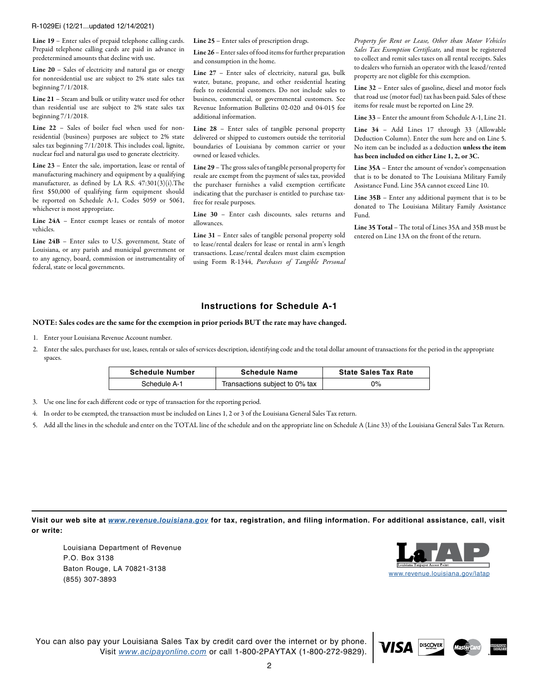R-1029Ei (12/21...updated 12/14/2021)

Line 19 – Enter sales of prepaid telephone calling cards. Prepaid telephone calling cards are paid in advance in predetermined amounts that decline with use.

Line 20 – Sales of electricity and natural gas or energy for nonresidential use are subject to 2% state sales tax beginning 7/1/2018.

Line 21 – Steam and bulk or utility water used for other than residential use are subject to 2% state sales tax beginning 7/1/2018.

Line 22 – Sales of boiler fuel when used for nonresidential (business) purposes are subject to 2% state sales tax beginning  $7/1/2018$ . This includes coal, lignite, nuclear fuel and natural gas used to generate electricity.

Line 23 – Enter the sale, importation, lease or rental of manufacturing machinery and equipment by a qualifying manufacturer, as defined by LA R.S. 47:301(3)(i).The first \$50,000 of qualifying farm equipment should be reported on Schedule A-1, Codes 5059 or 5061, whichever is most appropriate.

Line 24A – Enter exempt leases or rentals of motor vehicles.

Line 24B - Enter sales to U.S. government, State of Louisiana, or any parish and municipal government or to any agency, board, commission or instrumentality of federal, state or local governments.

Line 25 – Enter sales of prescription drugs.

Line 26 – Enter sales of food items for further preparation and consumption in the home.

Line 27 – Enter sales of electricity, natural gas, bulk water, butane, propane, and other residential heating fuels to residential customers. Do not include sales to business, commercial, or governmental customers. See Revenue Information Bulletins 02-020 and 04-015 for additional information.

Line 28 – Enter sales of tangible personal property delivered or shipped to customers outside the territorial boundaries of Louisiana by common carrier or your owned or leased vehicles.

Line 29 – The gross sales of tangible personal property for resale are exempt from the payment of sales tax, provided the purchaser furnishes a valid exemption certificate indicating that the purchaser is entitled to purchase taxfree for resale purposes.

Line 30 – Enter cash discounts, sales returns and allowances.

Line 31 – Enter sales of tangible personal property sold to lease/rental dealers for lease or rental in arm's length transactions. Lease/rental dealers must claim exemption using Form R-1344, *Purchases of Tangible Personal*  *Property for Rent or Lease, Other than Motor Vehicles Sales Tax Exemption Certificate,* and must be registered to collect and remit sales taxes on all rental receipts. Sales to dealers who furnish an operator with the leased/rented property are not eligible for this exemption.

Line 32 – Enter sales of gasoline, diesel and motor fuels that road use (motor fuel) tax has been paid. Sales of these items for resale must be reported on Line 29.

Line 33 – Enter the amount from Schedule A-1, Line 21.

Line 34 – Add Lines 17 through 33 (Allowable Deduction Column). Enter the sum here and on Line 5. No item can be included as a deduction unless the item has been included on either Line 1, 2, or 3C.

Line 35A – Enter the amount of vendor's compensation that is to be donated to The Louisiana Military Family Assistance Fund. Line 35A cannot exceed Line 10.

Line 35B – Enter any additional payment that is to be donated to The Louisiana Military Family Assistance Fund.

Line 35 Total – The total of Lines 35A and 35B must be entered on Line 13A on the front of the return.

## **Instructions for Schedule A-1**

NOTE: Sales codes are the same for the exemption in prior periods BUT the rate may have changed.

- 1. Enter your Louisiana Revenue Account number.
- 2. Enter the sales, purchases for use, leases, rentals or sales of services description, identifying code and the total dollar amount of transactions for the period in the appropriate spaces.

| <b>Schedule Number</b> | <b>Schedule Name</b>           | <b>State Sales Tax Rate</b> |  |
|------------------------|--------------------------------|-----------------------------|--|
| Schedule A-1           | Transactions subject to 0% tax | 0%                          |  |

3. Use one line for each different code or type of transaction for the reporting period.

4. In order to be exempted, the transaction must be included on Lines 1, 2 or 3 of the Louisiana General Sales Tax return.

5. Add all the lines in the schedule and enter on the TOTAL line of the schedule and on the appropriate line on Schedule A (Line 33) of the Louisiana General Sales Tax Return.

**Visit our web site at** *[www.revenue.louisiana.gov](http://www.revenue.louisiana.gov)* **for tax, registration, and filing information. For additional assistance, call, visit or write:**

Louisiana Department of Revenue P.O. Box 3138 Baton Rouge, LA 70821-3138 (855) 307-3893 [www.revenue.louisiana.gov/latap](http://www.revenue.louisiana.gov/latap)



**DISCOVER** 

You can also pay your Louisiana Sales Tax by credit card over the internet or by phone. Visit *[www.acipayonline.com](http://www.acipayonline.com)* or call 1-800-2PAYTAX (1-800-272-9829).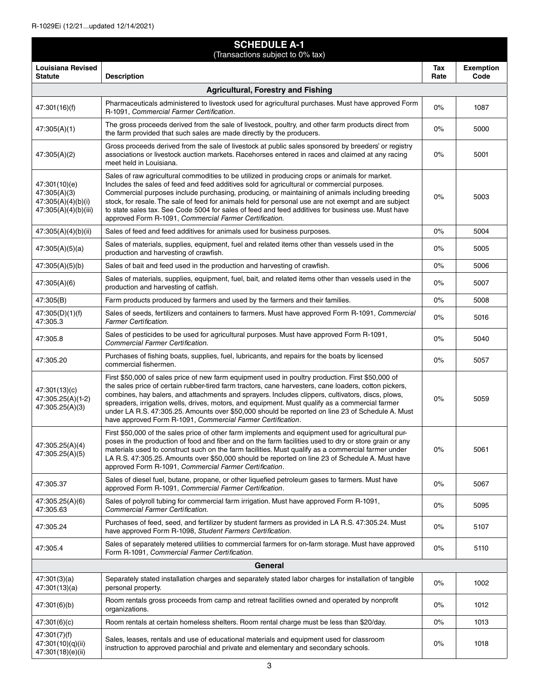$\overline{\phantom{a}}$ 

| <b>SCHEDULE A-1</b><br>(Transactions subject to 0% tax)                     |                                                                                                                                                                                                                                                                                                                                                                                                                                                                                                                                                                                       |             |                          |
|-----------------------------------------------------------------------------|---------------------------------------------------------------------------------------------------------------------------------------------------------------------------------------------------------------------------------------------------------------------------------------------------------------------------------------------------------------------------------------------------------------------------------------------------------------------------------------------------------------------------------------------------------------------------------------|-------------|--------------------------|
| <b>Louisiana Revised</b><br><b>Statute</b>                                  | <b>Description</b>                                                                                                                                                                                                                                                                                                                                                                                                                                                                                                                                                                    | Tax<br>Rate | <b>Exemption</b><br>Code |
|                                                                             | <b>Agricultural, Forestry and Fishing</b>                                                                                                                                                                                                                                                                                                                                                                                                                                                                                                                                             |             |                          |
| 47:301(16)(f)                                                               | Pharmaceuticals administered to livestock used for agricultural purchases. Must have approved Form<br>R-1091, Commercial Farmer Certification.                                                                                                                                                                                                                                                                                                                                                                                                                                        | 0%          | 1087                     |
| 47:305(A)(1)                                                                | The gross proceeds derived from the sale of livestock, poultry, and other farm products direct from<br>the farm provided that such sales are made directly by the producers.                                                                                                                                                                                                                                                                                                                                                                                                          | 0%          | 5000                     |
| 47:305(A)(2)                                                                | Gross proceeds derived from the sale of livestock at public sales sponsored by breeders' or registry<br>associations or livestock auction markets. Racehorses entered in races and claimed at any racing<br>meet held in Louisiana.                                                                                                                                                                                                                                                                                                                                                   | 0%          | 5001                     |
| 47:301(10)(e)<br>47:305(A)(3)<br>47:305(A)(4)(b)(i)<br>47:305(A)(4)(b)(iii) | Sales of raw agricultural commodities to be utilized in producing crops or animals for market.<br>Includes the sales of feed and feed additives sold for agricultural or commercial purposes.<br>Commercial purposes include purchasing, producing, or maintaining of animals including breeding<br>stock, for resale. The sale of feed for animals held for personal use are not exempt and are subject<br>to state sales tax. See Code 5004 for sales of feed and feed additives for business use. Must have<br>approved Form R-1091, Commercial Farmer Certification.              | 0%          | 5003                     |
| 47:305(A)(4)(b)(ii)                                                         | Sales of feed and feed additives for animals used for business purposes.                                                                                                                                                                                                                                                                                                                                                                                                                                                                                                              | 0%          | 5004                     |
| 47:305(A)(5)(a)                                                             | Sales of materials, supplies, equipment, fuel and related items other than vessels used in the<br>production and harvesting of crawfish.                                                                                                                                                                                                                                                                                                                                                                                                                                              | 0%          | 5005                     |
| 47:305(A)(5)(b)                                                             | Sales of bait and feed used in the production and harvesting of crawfish.                                                                                                                                                                                                                                                                                                                                                                                                                                                                                                             | 0%          | 5006                     |
| 47:305(A)(6)                                                                | Sales of materials, supplies, equipment, fuel, bait, and related items other than vessels used in the<br>production and harvesting of catfish.                                                                                                                                                                                                                                                                                                                                                                                                                                        | 0%          | 5007                     |
| 47:305(B)                                                                   | Farm products produced by farmers and used by the farmers and their families.                                                                                                                                                                                                                                                                                                                                                                                                                                                                                                         | 0%          | 5008                     |
| 47:305(D)(1)(f)<br>47:305.3                                                 | Sales of seeds, fertilizers and containers to farmers. Must have approved Form R-1091, Commercial<br><b>Farmer Certification.</b>                                                                                                                                                                                                                                                                                                                                                                                                                                                     | 0%          | 5016                     |
| 47:305.8                                                                    | Sales of pesticides to be used for agricultural purposes. Must have approved Form R-1091,<br><b>Commercial Farmer Certification.</b>                                                                                                                                                                                                                                                                                                                                                                                                                                                  | 0%          | 5040                     |
| 47:305.20                                                                   | Purchases of fishing boats, supplies, fuel, lubricants, and repairs for the boats by licensed<br>commercial fishermen.                                                                                                                                                                                                                                                                                                                                                                                                                                                                | 0%          | 5057                     |
| 47:301(13)(c)<br>47:305.25(A)(1-2)<br>47:305.25(A)(3)                       | First \$50,000 of sales price of new farm equipment used in poultry production. First \$50,000 of<br>the sales price of certain rubber-tired farm tractors, cane harvesters, cane loaders, cotton pickers,<br>combines, hay balers, and attachments and sprayers. Includes clippers, cultivators, discs, plows,<br>spreaders, irrigation wells, drives, motors, and equipment. Must qualify as a commercial farmer<br>under LA R.S. 47:305.25. Amounts over \$50,000 should be reported on line 23 of Schedule A. Must<br>have approved Form R-1091, Commercial Farmer Certification. | 0%          | 5059                     |
| 47:305.25(A)(4)<br>47:305.25(A)(5)                                          | First \$50,000 of the sales price of other farm implements and equipment used for agricultural pur-<br>poses in the production of food and fiber and on the farm facilities used to dry or store grain or any<br>materials used to construct such on the farm facilities. Must qualify as a commercial farmer under<br>LA R.S. 47:305.25. Amounts over \$50,000 should be reported on line 23 of Schedule A. Must have<br>approved Form R-1091, Commercial Farmer Certification.                                                                                                      | 0%          | 5061                     |
| 47:305.37                                                                   | Sales of diesel fuel, butane, propane, or other liquefied petroleum gases to farmers. Must have<br>approved Form R-1091, Commercial Farmer Certification.                                                                                                                                                                                                                                                                                                                                                                                                                             | 0%          | 5067                     |
| 47:305.25(A)(6)<br>47:305.63                                                | Sales of polyroll tubing for commercial farm irrigation. Must have approved Form R-1091,<br>Commercial Farmer Certification.                                                                                                                                                                                                                                                                                                                                                                                                                                                          | 0%          | 5095                     |
| 47:305.24                                                                   | Purchases of feed, seed, and fertilizer by student farmers as provided in LA R.S. 47:305.24. Must<br>have approved Form R-1098, Student Farmers Certification.                                                                                                                                                                                                                                                                                                                                                                                                                        | 0%          | 5107                     |
| 47:305.4                                                                    | Sales of separately metered utilities to commercial farmers for on-farm storage. Must have approved<br>Form R-1091, Commercial Farmer Certification.                                                                                                                                                                                                                                                                                                                                                                                                                                  | 0%          | 5110                     |
| General                                                                     |                                                                                                                                                                                                                                                                                                                                                                                                                                                                                                                                                                                       |             |                          |
| 47:301(3)(a)<br>47:301(13)(a)                                               | Separately stated installation charges and separately stated labor charges for installation of tangible<br>personal property.                                                                                                                                                                                                                                                                                                                                                                                                                                                         | 0%          | 1002                     |
| 47:301(6)(b)                                                                | Room rentals gross proceeds from camp and retreat facilities owned and operated by nonprofit<br>organizations.                                                                                                                                                                                                                                                                                                                                                                                                                                                                        | 0%          | 1012                     |
| 47:301(6)(c)                                                                | Room rentals at certain homeless shelters. Room rental charge must be less than \$20/day.                                                                                                                                                                                                                                                                                                                                                                                                                                                                                             | 0%          | 1013                     |
| 47:301(7)(f)<br>47:301(10)(q)(ii)<br>47:301(18)(e)(ii)                      | Sales, leases, rentals and use of educational materials and equipment used for classroom<br>instruction to approved parochial and private and elementary and secondary schools.                                                                                                                                                                                                                                                                                                                                                                                                       | 0%          | 1018                     |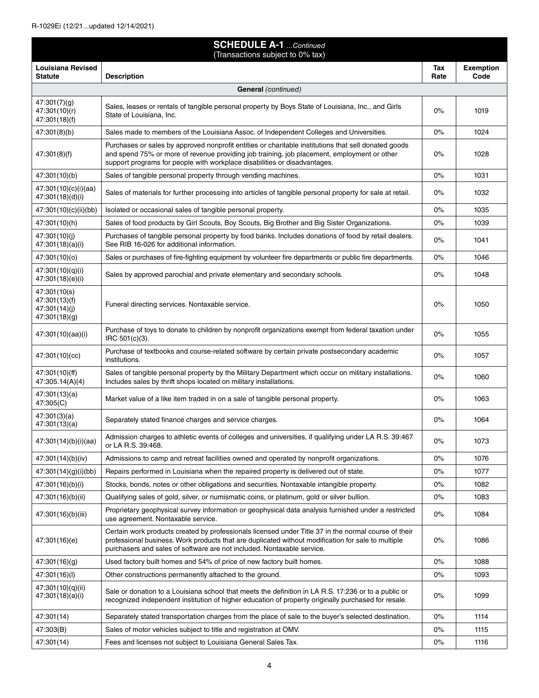| <b>SCHEDULE A-1</b> Continued<br>(Transactions subject to 0% tax) |                                                                                                                                                                                                                                                                                      |             |                          |
|-------------------------------------------------------------------|--------------------------------------------------------------------------------------------------------------------------------------------------------------------------------------------------------------------------------------------------------------------------------------|-------------|--------------------------|
| <b>Louisiana Revised</b><br><b>Statute</b>                        | <b>Description</b>                                                                                                                                                                                                                                                                   | Tax<br>Rate | <b>Exemption</b><br>Code |
|                                                                   | General (continued)                                                                                                                                                                                                                                                                  |             |                          |
| 47:301(7)(g)<br>47:301(10)(r)<br>47:301(18)(f)                    | Sales, leases or rentals of tangible personal property by Boys State of Louisiana, Inc., and Girls<br>State of Louisiana, Inc.                                                                                                                                                       | 0%          | 1019                     |
| 47:301(8)(b)                                                      | Sales made to members of the Louisiana Assoc. of Independent Colleges and Universities.                                                                                                                                                                                              | $0\%$       | 1024                     |
| 47:301(8)(f)                                                      | Purchases or sales by approved nonprofit entities or charitable institutions that sell donated goods<br>and spend 75% or more of revenue providing job training, job placement, employment or other<br>support programs for people with workplace disabilities or disadvantages.     | $0\%$       | 1028                     |
| 47:301(10)(b)                                                     | Sales of tangible personal property through vending machines.                                                                                                                                                                                                                        | $0\%$       | 1031                     |
| 47:301(10)(c)(i)(aa)<br>47:301(18)(d)(i)                          | Sales of materials for further processing into articles of tangible personal property for sale at retail.                                                                                                                                                                            | $0\%$       | 1032                     |
| 47:301(10)(c)(ii)(bb)                                             | Isolated or occasional sales of tangible personal property.                                                                                                                                                                                                                          | $0\%$       | 1035                     |
| 47:301(10)(h)                                                     | Sales of food products by Girl Scouts, Boy Scouts, Big Brother and Big Sister Organizations.                                                                                                                                                                                         | $0\%$       | 1039                     |
| 47:301(10)(i)<br>47:301(18)(a)(i)                                 | Purchases of tangible personal property by food banks. Includes donations of food by retail dealers.<br>See RIB 16-026 for additional information.                                                                                                                                   | $0\%$       | 1041                     |
| 47:301(10)(o)                                                     | Sales or purchases of fire-fighting equipment by volunteer fire departments or public fire departments.                                                                                                                                                                              | $0\%$       | 1046                     |
| 47:301(10)(q)(i)<br>47:301(18)(e)(i)                              | Sales by approved parochial and private elementary and secondary schools.                                                                                                                                                                                                            | 0%          | 1048                     |
| 47:301(10(s)<br>47:301(13)(f)<br>47:301(14)(j)<br>47:301(18)(g)   | Funeral directing services. Nontaxable service.                                                                                                                                                                                                                                      | 0%          | 1050                     |
| 47:301(10)(aa)(i)                                                 | Purchase of toys to donate to children by nonprofit organizations exempt from federal taxation under<br>IRC 501(c)(3).                                                                                                                                                               | $0\%$       | 1055                     |
| 47:301(10)(cc)                                                    | Purchase of textbooks and course-related software by certain private postsecondary academic<br>institutions.                                                                                                                                                                         | $0\%$       | 1057                     |
| 47:301(10)(ff)<br>47:305.14(A)(4)                                 | Sales of tangible personal property by the Military Department which occur on military installations.<br>Includes sales by thrift shops located on military installations.                                                                                                           | $0\%$       | 1060                     |
| 47:301(13)(a)<br>47:305(C)                                        | Market value of a like item traded in on a sale of tangible personal property.                                                                                                                                                                                                       | $0\%$       | 1063                     |
| 47:301(3)(a)<br>47:301(13)(a)                                     | Separately stated finance charges and service charges.                                                                                                                                                                                                                               | $0\%$       | 1064                     |
| 47:301(14)(b)(i)(aa)                                              | Admission charges to athletic events of colleges and universities, if qualifying under LA R.S. 39:467<br>or LA R.S. 39:468.                                                                                                                                                          | 0%          | 1073                     |
| 47:301(14)(b)(iv)                                                 | Admissions to camp and retreat facilities owned and operated by nonprofit organizations.                                                                                                                                                                                             | $0\%$       | 1076                     |
| 47:301(14)(g)(i)(bb)                                              | Repairs performed in Louisiana when the repaired property is delivered out of state.                                                                                                                                                                                                 | $0\%$       | 1077                     |
| 47:301(16)(b)(i)                                                  | Stocks, bonds, notes or other obligations and securities. Nontaxable intangible property.                                                                                                                                                                                            | $0\%$       | 1082                     |
| 47:301(16)(b)(ii)                                                 | Qualifying sales of gold, silver, or numismatic coins, or platinum, gold or silver bullion.                                                                                                                                                                                          | $0\%$       | 1083                     |
| 47:301(16)(b)(iii)                                                | Proprietary geophysical survey information or geophysical data analysis furnished under a restricted<br>use agreement. Nontaxable service.                                                                                                                                           | $0\%$       | 1084                     |
| 47:301(16)(e)                                                     | Certain work products created by professionals licensed under Title 37 in the normal course of their<br>professional business. Work products that are duplicated without modification for sale to multiple<br>purchasers and sales of software are not included. Nontaxable service. | $0\%$       | 1086                     |
| 47:301(16)(g)                                                     | Used factory built homes and 54% of price of new factory built homes.                                                                                                                                                                                                                | $0\%$       | 1088                     |
| 47:301(16)(l)                                                     | Other constructions permanently attached to the ground.                                                                                                                                                                                                                              | $0\%$       | 1093                     |
| 47:301(10)(q)(ii)<br>47:301(18)(a)(i)                             | Sale or donation to a Louisiana school that meets the definition in LA R.S. 17:236 or to a public or<br>recognized independent institution of higher education of property originally purchased for resale.                                                                          | $0\%$       | 1099                     |
| 47:301(14)                                                        | Separately stated transportation charges from the place of sale to the buyer's selected destination.                                                                                                                                                                                 | $0\%$       | 1114                     |
| 47:303(B)                                                         | Sales of motor vehicles subject to title and registration at OMV.                                                                                                                                                                                                                    | $0\%$       | 1115                     |
| 47:301(14)                                                        | Fees and licenses not subject to Louisiana General Sales Tax.                                                                                                                                                                                                                        | $0\%$       | 1116                     |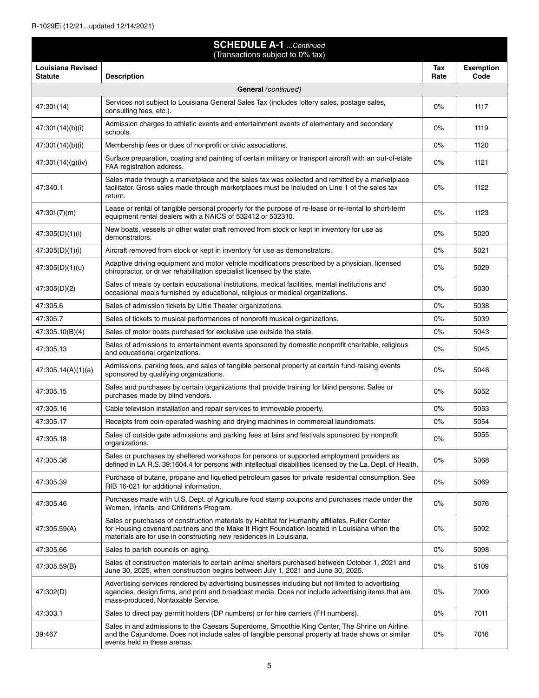| <b>SCHEDULE A-1</b> Continued<br>(Transactions subject to 0% tax) |                                                                                                                                                                                                                                                                      |             |                          |
|-------------------------------------------------------------------|----------------------------------------------------------------------------------------------------------------------------------------------------------------------------------------------------------------------------------------------------------------------|-------------|--------------------------|
| <b>Louisiana Revised</b><br><b>Statute</b>                        | <b>Description</b>                                                                                                                                                                                                                                                   | Tax<br>Rate | <b>Exemption</b><br>Code |
|                                                                   | <b>General</b> (continued)                                                                                                                                                                                                                                           |             |                          |
| 47:301(14)                                                        | Services not subject to Louisiana General Sales Tax (includes lottery sales, postage sales,<br>consulting fees, etc.).                                                                                                                                               | 0%          | 1117                     |
| 47:301(14)(b)(i)                                                  | Admission charges to athletic events and entertainment events of elementary and secondary<br>schools.                                                                                                                                                                | 0%          | 1119                     |
| 47:301(14)(b)(i)                                                  | Membership fees or dues of nonprofit or civic associations.                                                                                                                                                                                                          | 0%          | 1120                     |
| 47:301(14)(g)(iv)                                                 | Surface preparation, coating and painting of certain military or transport aircraft with an out-of-state<br>FAA registration address.                                                                                                                                | 0%          | 1121                     |
| 47:340.1                                                          | Sales made through a marketplace and the sales tax was collected and remitted by a marketplace<br>facilitator. Gross sales made through marketplaces must be included on Line 1 of the sales tax<br>return.                                                          | $0\%$       | 1122                     |
| 47:301(7)(m)                                                      | Lease or rental of tangible personal property for the purpose of re-lease or re-rental to short-term<br>equipment rental dealers with a NAICS of 532412 or 532310.                                                                                                   | 0%          | 1123                     |
| 47:305(D)(1)(i)                                                   | New boats, vessels or other water craft removed from stock or kept in inventory for use as<br>demonstrators.                                                                                                                                                         | 0%          | 5020                     |
| 47:305(D)(1)(i)                                                   | Aircraft removed from stock or kept in inventory for use as demonstrators.                                                                                                                                                                                           | 0%          | 5021                     |
| 47:305(D)(1)(u)                                                   | Adaptive driving equipment and motor vehicle modifications prescribed by a physician, licensed<br>chiropractor, or driver rehabilitation specialist licensed by the state.                                                                                           | 0%          | 5029                     |
| 47:305(D)(2)                                                      | Sales of meals by certain educational institutions, medical facilities, mental institutions and<br>occasional meals furnished by educational, religious or medical organizations.                                                                                    | 0%          | 5030                     |
| 47:305.6                                                          | Sales of admission tickets by Little Theater organizations.                                                                                                                                                                                                          | 0%          | 5038                     |
| 47:305.7                                                          | Sales of tickets to musical performances of nonprofit musical organizations.                                                                                                                                                                                         | 0%          | 5039                     |
| 47:305.10(B)(4)                                                   | Sales of motor boats purchased for exclusive use outside the state.                                                                                                                                                                                                  | 0%          | 5043                     |
| 47:305.13                                                         | Sales of admissions to entertainment events sponsored by domestic nonprofit charitable, religious<br>and educational organizations.                                                                                                                                  | 0%          | 5045                     |
| 47:305.14(A)(1)(a)                                                | Admissions, parking fees, and sales of tangible personal property at certain fund-raising events<br>sponsored by qualifying organizations.                                                                                                                           | 0%          | 5046                     |
| 47:305.15                                                         | Sales and purchases by certain organizations that provide training for blind persons. Sales or<br>purchases made by blind vendors.                                                                                                                                   | 0%          | 5052                     |
| 47:305.16                                                         | Cable television installation and repair services to immovable property.                                                                                                                                                                                             | $0\%$       | 5053                     |
| 47:305.17                                                         | Receipts from coin-operated washing and drying machines in commercial laundromats.                                                                                                                                                                                   | 0%          | 5054                     |
| 47:305.18                                                         | Sales of outside gate admissions and parking fees at fairs and festivals sponsored by nonprofit<br>organizations.                                                                                                                                                    | 0%          | 5055                     |
| 47:305.38                                                         | Sales or purchases by sheltered workshops for persons or supported employment providers as<br>defined in LA R.S. 39:1604.4 for persons with intellectual disabilities licensed by the La. Dept. of Health.                                                           | 0%          | 5068                     |
| 47:305.39                                                         | Purchase of butane, propane and liquefied petroleum gases for private residential consumption. See<br>RIB 16-021 for additional information.                                                                                                                         | 0%          | 5069                     |
| 47:305.46                                                         | Purchases made with U.S. Dept. of Agriculture food stamp coupons and purchases made under the<br>Women, Infants, and Children's Program.                                                                                                                             | 0%          | 5076                     |
| 47:305.59(A)                                                      | Sales or purchases of construction materials by Habitat for Humanity affiliates, Fuller Center<br>for Housing covenant partners and the Make It Right Foundation located in Louisiana when the<br>materials are for use in constructing new residences in Louisiana. | 0%          | 5092                     |
| 47:305.66                                                         | Sales to parish councils on aging.                                                                                                                                                                                                                                   | 0%          | 5098                     |
| 47:305.59(B)                                                      | Sales of construction materials to certain animal shelters purchased between October 1, 2021 and<br>June 30, 2025, when construction begins between July 1, 2021 and June 30, 2025.                                                                                  | 0%          | 5109                     |
| 47:302(D)                                                         | Advertising services rendered by advertising businesses including but not limited to advertising<br>agencies, design firms, and print and broadcast media. Does not include advertising items that are<br>mass-produced. Nontaxable Service.                         | 0%          | 7009                     |
| 47:303.1                                                          | Sales to direct pay permit holders (DP numbers) or for hire carriers (FH numbers).                                                                                                                                                                                   | 0%          | 7011                     |
| 39:467                                                            | Sales in and admissions to the Caesars Superdome, Smoothie King Center, The Shrine on Airline<br>and the Cajundome. Does not include sales of tangible personal property at trade shows or similar<br>events held in these arenas.                                   | $0\%$       | 7016                     |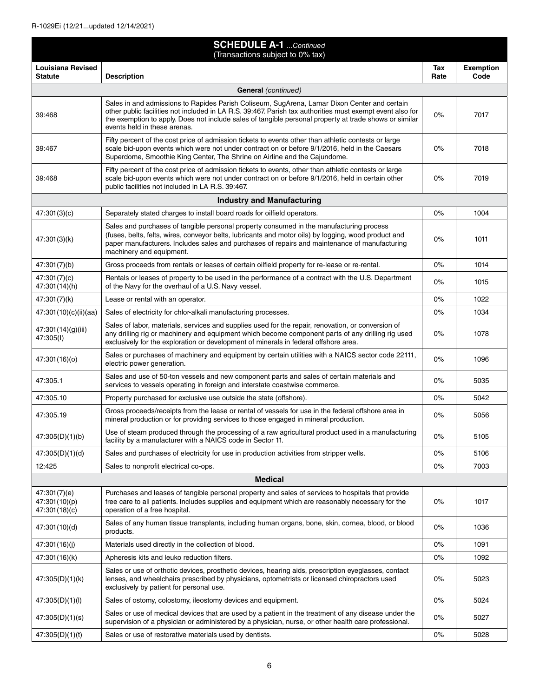| <b>SCHEDULE A-1</b> Continued<br>(Transactions subject to 0% tax) |                                                                                                                                                                                                                                                                                                                                                     |             |                          |
|-------------------------------------------------------------------|-----------------------------------------------------------------------------------------------------------------------------------------------------------------------------------------------------------------------------------------------------------------------------------------------------------------------------------------------------|-------------|--------------------------|
| Louisiana Revised<br><b>Statute</b>                               | <b>Description</b>                                                                                                                                                                                                                                                                                                                                  | Tax<br>Rate | <b>Exemption</b><br>Code |
|                                                                   | <b>General</b> (continued)                                                                                                                                                                                                                                                                                                                          |             |                          |
| 39:468                                                            | Sales in and admissions to Rapides Parish Coliseum, SugArena, Lamar Dixon Center and certain<br>other public facilities not included in LA R.S. 39:467. Parish tax authorities must exempt event also for<br>the exemption to apply. Does not include sales of tangible personal property at trade shows or similar<br>events held in these arenas. | $0\%$       | 7017                     |
| 39:467                                                            | Fifty percent of the cost price of admission tickets to events other than athletic contests or large<br>scale bid-upon events which were not under contract on or before 9/1/2016, held in the Caesars<br>Superdome, Smoothie King Center, The Shrine on Airline and the Cajundome.                                                                 | 0%          | 7018                     |
| 39:468                                                            | Fifty percent of the cost price of admission tickets to events, other than athletic contests or large<br>scale bid-upon events which were not under contract on or before 9/1/2016, held in certain other<br>public facilities not included in LA R.S. 39:467.                                                                                      | $0\%$       | 7019                     |
|                                                                   | <b>Industry and Manufacturing</b>                                                                                                                                                                                                                                                                                                                   |             |                          |
| 47:301(3)(c)                                                      | Separately stated charges to install board roads for oilfield operators.                                                                                                                                                                                                                                                                            | 0%          | 1004                     |
| 47:301(3)(k)                                                      | Sales and purchases of tangible personal property consumed in the manufacturing process<br>(fuses, belts, felts, wires, conveyor belts, lubricants and motor oils) by logging, wood product and<br>paper manufacturers. Includes sales and purchases of repairs and maintenance of manufacturing<br>machinery and equipment.                        | $0\%$       | 1011                     |
| 47:301(7)(b)                                                      | Gross proceeds from rentals or leases of certain oilfield property for re-lease or re-rental.                                                                                                                                                                                                                                                       | 0%          | 1014                     |
| 47:301(7)(c)<br>47:301(14)(h)                                     | Rentals or leases of property to be used in the performance of a contract with the U.S. Department<br>of the Navy for the overhaul of a U.S. Navy vessel.                                                                                                                                                                                           | 0%          | 1015                     |
| 47:301(7)(k)                                                      | Lease or rental with an operator.                                                                                                                                                                                                                                                                                                                   | 0%          | 1022                     |
| 47:301(10)(c)(ii)(aa)                                             | Sales of electricity for chlor-alkali manufacturing processes.                                                                                                                                                                                                                                                                                      | 0%          | 1034                     |
| 47:301(14)(g)(iii)<br>47:305(I)                                   | Sales of labor, materials, services and supplies used for the repair, renovation, or conversion of<br>any drilling rig or machinery and equipment which become component parts of any drilling rig used<br>exclusively for the exploration or development of minerals in federal offshore area.                                                     | 0%          | 1078                     |
| 47:301(16)(o)                                                     | Sales or purchases of machinery and equipment by certain utilities with a NAICS sector code 22111,<br>electric power generation.                                                                                                                                                                                                                    | 0%          | 1096                     |
| 47:305.1                                                          | Sales and use of 50-ton vessels and new component parts and sales of certain materials and<br>services to vessels operating in foreign and interstate coastwise commerce.                                                                                                                                                                           | 0%          | 5035                     |
| 47:305.10                                                         | Property purchased for exclusive use outside the state (offshore).                                                                                                                                                                                                                                                                                  | 0%          | 5042                     |
| 47:305.19                                                         | Gross proceeds/receipts from the lease or rental of vessels for use in the federal offshore area in<br>mineral production or for providing services to those engaged in mineral production.                                                                                                                                                         | 0%          | 5056                     |
| 47:305(D)(1)(b)                                                   | Use of steam produced through the processing of a raw agricultural product used in a manufacturing<br>facility by a manufacturer with a NAICS code in Sector 11.                                                                                                                                                                                    | $0\%$       | 5105                     |
| 47:305(D)(1)(d)                                                   | Sales and purchases of electricity for use in production activities from stripper wells.                                                                                                                                                                                                                                                            | $0\%$       | 5106                     |
| 12:425                                                            | Sales to nonprofit electrical co-ops.                                                                                                                                                                                                                                                                                                               | $0\%$       | 7003                     |
| <b>Medical</b>                                                    |                                                                                                                                                                                                                                                                                                                                                     |             |                          |
| 47:301(7)(e)<br>47:301(10)(p)<br>47:301(18)(c)                    | Purchases and leases of tangible personal property and sales of services to hospitals that provide<br>free care to all patients. Includes supplies and equipment which are reasonably necessary for the<br>operation of a free hospital.                                                                                                            | 0%          | 1017                     |
| 47:301(10)(d)                                                     | Sales of any human tissue transplants, including human organs, bone, skin, cornea, blood, or blood<br>products.                                                                                                                                                                                                                                     | $0\%$       | 1036                     |
| 47:301(16)(j)                                                     | Materials used directly in the collection of blood.                                                                                                                                                                                                                                                                                                 | $0\%$       | 1091                     |
| 47:301(16)(k)                                                     | Apheresis kits and leuko reduction filters.                                                                                                                                                                                                                                                                                                         | 0%          | 1092                     |
| 47:305(D)(1)(k)                                                   | Sales or use of orthotic devices, prosthetic devices, hearing aids, prescription eyeglasses, contact<br>lenses, and wheelchairs prescribed by physicians, optometrists or licensed chiropractors used<br>exclusively by patient for personal use.                                                                                                   | $0\%$       | 5023                     |
| 47:305(D)(1)(l)                                                   | Sales of ostomy, colostomy, ileostomy devices and equipment.                                                                                                                                                                                                                                                                                        | 0%          | 5024                     |
| 47:305(D)(1)(s)                                                   | Sales or use of medical devices that are used by a patient in the treatment of any disease under the<br>supervision of a physician or administered by a physician, nurse, or other health care professional.                                                                                                                                        | $0\%$       | 5027                     |
| 47:305(D)(1)(t)                                                   | Sales or use of restorative materials used by dentists.                                                                                                                                                                                                                                                                                             | 0%          | 5028                     |